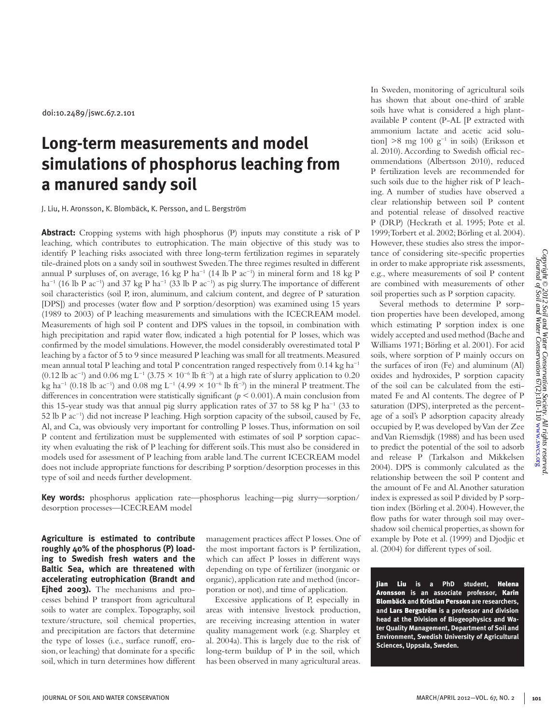doi:10.2489/jswc.67.2.101

# **Long-term measurements and model simulations of phosphorus leaching from a manured sandy soil**

J. Liu, H. Aronsson, K. Blombäck, K. Persson, and L. Bergström

**Abstract:** Cropping systems with high phosphorus (P) inputs may constitute a risk of P leaching, which contributes to eutrophication. The main objective of this study was to identify P leaching risks associated with three long-term fertilization regimes in separately tile-drained plots on a sandy soil in southwest Sweden. The three regimes resulted in different annual P surpluses of, on average, 16 kg P ha<sup>-1</sup> (14 lb P ac<sup>-1</sup>) in mineral form and 18 kg P ha<sup>-1</sup> (16 lb P ac<sup>-1</sup>) and 37 kg P ha<sup>-1</sup> (33 lb P ac<sup>-1</sup>) as pig slurry. The importance of different soil characteristics (soil P, iron, aluminum, and calcium content, and degree of P saturation [DPS]) and processes (water flow and P sorption/desorption) was examined using 15 years (1989 to 2003) of P leaching measurements and simulations with the ICECREAM model. Measurements of high soil P content and DPS values in the topsoil, in combination with high precipitation and rapid water flow, indicated a high potential for P losses, which was confirmed by the model simulations. However, the model considerably overestimated total P leaching by a factor of 5 to 9 since measured P leaching was small for all treatments. Measured mean annual total P leaching and total P concentration ranged respectively from 0.14 kg ha<sup>-1</sup> (0.12 lb ac<sup>-1</sup>) and 0.06 mg L<sup>-1</sup> (3.75 × 10<sup>-6</sup> lb ft<sup>-3</sup>) at a high rate of slurry application to 0.20 kg ha<sup>-1</sup> (0.18 lb ac<sup>-1</sup>) and 0.08 mg L<sup>-1</sup> (4.99 × 10<sup>-6</sup> lb ft<sup>-3</sup>) in the mineral P treatment. The differences in concentration were statistically significant ( $p \le 0.001$ ). A main conclusion from this 15-year study was that annual pig slurry application rates of 37 to 58 kg P ha<sup>-1</sup> (33 to 52 lb P ac−1) did not increase P leaching. High sorption capacity of the subsoil, caused by Fe, Al, and Ca, was obviously very important for controlling P losses. Thus, information on soil P content and fertilization must be supplemented with estimates of soil P sorption capacity when evaluating the risk of P leaching for different soils. This must also be considered in models used for assessment of P leaching from arable land. The current ICECREAM model does not include appropriate functions for describing P sorption/desorption processes in this type of soil and needs further development.

**Key words:** phosphorus application rate—phosphorus leaching—pig slurry—sorption/ desorption processes—ICECREAM model

**Agriculture is estimated to contribute roughly 40% of the phosphorus (P) loading to Swedish fresh waters and the Baltic Sea, which are threatened with accelerating eutrophication (Brandt and Ejhed 2003).** The mechanisms and processes behind P transport from agricultural soils to water are complex. Topography, soil texture/structure, soil chemical properties, and precipitation are factors that determine the type of losses (i.e., surface runoff, erosion, or leaching) that dominate for a specific soil, which in turn determines how different

management practices affect P losses. One of the most important factors is P fertilization, which can affect P losses in different ways depending on type of fertilizer (inorganic or organic), application rate and method (incorporation or not), and time of application.

Excessive applications of P, especially in areas with intensive livestock production, are receiving increasing attention in water quality management work (e.g. Sharpley et al. 2004a). This is largely due to the risk of long-term buildup of P in the soil, which has been observed in many agricultural areas. In Sweden, monitoring of agricultural soils has shown that about one-third of arable soils have what is considered a high plantavailable P content (P-AL [P extracted with ammonium lactate and acetic acid solution] >8 mg 100 g<sup>-1</sup> in soils) (Eriksson et al. 2010). According to Swedish official recommendations (Albertsson 2010), reduced P fertilization levels are recommended for such soils due to the higher risk of P leaching. A number of studies have observed a clear relationship between soil P content and potential release of dissolved reactive P (DRP) (Heckrath et al. 1995; Pote et al. 1999; Torbert et al. 2002; Börling et al. 2004). However, these studies also stress the importance of considering site-specific properties in order to make appropriate risk assessments, e.g., where measurements of soil P content are combined with measurements of other soil properties such as P sorption capacity.

Several methods to determine P sorption properties have been developed, among which estimating P sorption index is one widely accepted and used method (Bache and Williams 1971; Börling et al. 2001). For acid soils, where sorption of P mainly occurs on the surfaces of iron (Fe) and aluminum (Al) oxides and hydroxides, P sorption capacity of the soil can be calculated from the estimated Fe and Al contents. The degree of P saturation (DPS), interpreted as the percentage of a soil's P adsorption capacity already occupied by P, was developed by Van der Zee and Van Riemsdijk (1988) and has been used to predict the potential of the soil to adsorb and release P (Tarkalson and Mikkelsen 2004). DPS is commonly calculated as the relationship between the soil P content and the amount of Fe and Al. Another saturation index is expressed as soil P divided by P sorption index (Börling et al. 2004). However, the flow paths for water through soil may overshadow soil chemical properties, as shown for example by Pote et al. (1999) and Djodjic et al. (2004) for different types of soil.

Jian Liu **is a PhD student,** Helena Aronsson **is an associate professor,** Karin Blombäck **and** Kristian Persson **are researchers, and** Lars Bergström **is a professor and division head at the Division of Biogeophysics and Water Quality Management, Department of Soil and Environment, Swedish University of Agricultural Sciences, Uppsala, Sweden.**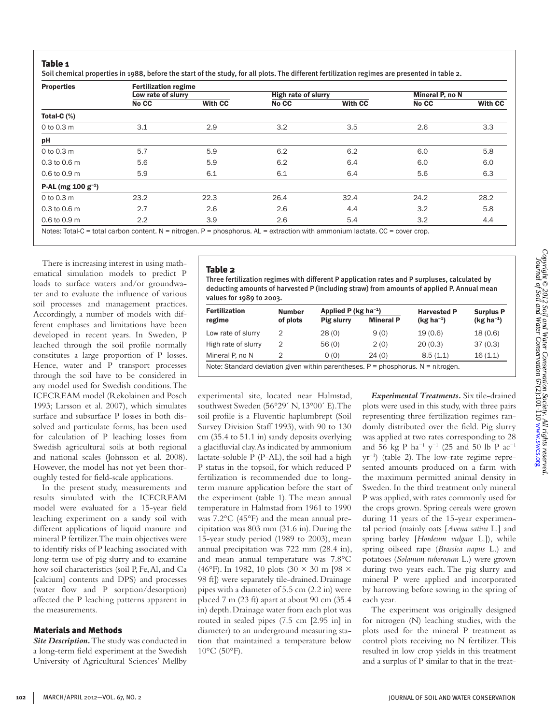Soil chemical properties in 1988, before the start of the study, for all plots. The different fertilization regimes are presented in table 2.

| <b>Properties</b>       | <b>Fertilization regime</b> |                |                     |              |                 |         |  |  |  |
|-------------------------|-----------------------------|----------------|---------------------|--------------|-----------------|---------|--|--|--|
|                         | Low rate of slurry          |                | High rate of slurry |              | Mineral P, no N |         |  |  |  |
|                         | No CC                       | <b>With CC</b> | No CC               | With CC      | No CC           | With CC |  |  |  |
| Total-C $(%)$           |                             |                |                     |              |                 |         |  |  |  |
| 0 to 0.3 m              | 3.1                         | 2.9            | 3.2                 | 3.5          | 2.6             | 3.3     |  |  |  |
| pH                      |                             |                |                     |              |                 |         |  |  |  |
| 0 to 0.3 m              | 5.7                         | 5.9            | 6.2                 | 6.2<br>6.0   |                 | 5.8     |  |  |  |
| 0.3 to 0.6 m            | 5.6                         | 5.9            | 6.2                 | 6.4          | 6.0             | 6.0     |  |  |  |
| 0.6 to 0.9 m            | 5.9                         | 6.1            | 6.1<br>6.4          |              | 5.6             | 6.3     |  |  |  |
| P-AL (mg $100 g^{-1}$ ) |                             |                |                     |              |                 |         |  |  |  |
| 0 to 0.3 m              | 23.2                        | 22.3           | 26.4                | 32.4<br>24.2 |                 | 28.2    |  |  |  |
| 0.3 to 0.6 m            | 2.7                         | 2.6            | 2.6                 | 4.4<br>3.2   |                 | 5.8     |  |  |  |
| 0.6 to 0.9 m            | 2.2                         | 3.9            | 2.6                 | 5.4          | 3.2             | 4.4     |  |  |  |

There is increasing interest in using mathematical simulation models to predict P loads to surface waters and/or groundwater and to evaluate the influence of various soil processes and management practices. Accordingly, a number of models with different emphases and limitations have been developed in recent years. In Sweden, P leached through the soil profile normally constitutes a large proportion of P losses. Hence, water and P transport processes through the soil have to be considered in any model used for Swedish conditions. The ICECREAM model (Rekolainen and Posch 1993; Larsson et al. 2007), which simulates surface and subsurface P losses in both dissolved and particulate forms, has been used for calculation of P leaching losses from Swedish agricultural soils at both regional and national scales (Johnsson et al. 2008). However, the model has not yet been thoroughly tested for field-scale applications.

In the present study, measurements and results simulated with the ICECREAM model were evaluated for a 15-year field leaching experiment on a sandy soil with different applications of liquid manure and mineral P fertilizer. The main objectives were to identify risks of P leaching associated with long-term use of pig slurry and to examine how soil characteristics (soil P, Fe, Al, and Ca [calcium] contents and DPS) and processes (water flow and P sorption/desorption) affected the P leaching patterns apparent in the measurements.

### Materials and Methods

*Site Description.* The study was conducted in a long-term field experiment at the Swedish University of Agricultural Sciences' Mellby

### Table 2

Three fertilization regimes with different P application rates and P surpluses, calculated by deducting amounts of harvested P (including straw) from amounts of applied P. Annual mean values for 1989 to 2003.

| <b>Fertilization</b> | <b>Number</b> | Applied P ( $kg$ ha <sup>-1</sup> ) |                  | <b>Harvested P</b> | <b>Surplus P</b> |  |
|----------------------|---------------|-------------------------------------|------------------|--------------------|------------------|--|
| regime               | of plots      | <b>Pig slurry</b>                   | <b>Mineral P</b> | $(kg ha-1)$        | $(kg ha^{-1})$   |  |
| Low rate of slurry   | 2             | 28(0)                               | 9(0)             | 19(0.6)            | 18(0.6)          |  |
| High rate of slurry  | 2             | 56(0)                               | 2(0)             | 20(0.3)            | 37(0.3)          |  |
| Mineral P, no N      |               | 0(0)                                | 24(0)            | 8.5(1.1)           | 16(1.1)          |  |

experimental site, located near Halmstad, southwest Sweden (56°29´ N, 13°00´ E). The soil profile is a Fluventic haplumbrept (Soil Survey Division Staff 1993), with 90 to 130 cm (35.4 to 51.1 in) sandy deposits overlying a glacifluvial clay. As indicated by ammonium lactate-soluble P (P-AL), the soil had a high P status in the topsoil, for which reduced P fertilization is recommended due to longterm manure application before the start of the experiment (table 1). The mean annual temperature in Halmstad from 1961 to 1990 was 7.2°C (45°F) and the mean annual precipitation was 803 mm (31.6 in). During the 15-year study period (1989 to 2003), mean annual precipitation was 722 mm (28.4 in), and mean annual temperature was 7.8°C (46°F). In 1982, 10 plots (30  $\times$  30 m [98  $\times$ 98 ft]) were separately tile-drained. Drainage pipes with a diameter of 5.5 cm (2.2 in) were placed 7 m (23 ft) apart at about 90 cm (35.4 in) depth. Drainage water from each plot was routed in sealed pipes (7.5 cm [2.95 in] in diameter) to an underground measuring station that maintained a temperature below 10°C (50°F).

*Experimental Treatments.* Six tile-drained plots were used in this study, with three pairs representing three fertilization regimes randomly distributed over the field. Pig slurry was applied at two rates corresponding to 28 and 56 kg P ha<sup>-1</sup> y<sup>-1</sup> (25 and 50 lb P ac<sup>-1</sup> yr−1) (table 2). The low-rate regime represented amounts produced on a farm with the maximum permitted animal density in Sweden. In the third treatment only mineral P was applied, with rates commonly used for the crops grown. Spring cereals were grown during 11 years of the 15-year experimental period (mainly oats [*Avena sativa* L.] and spring barley [*Hordeum vulgare* L.]), while spring oilseed rape (*Brassica napus* L.) and potatoes (*Solanum tuberosum* L.) were grown during two years each. The pig slurry and mineral P were applied and incorporated by harrowing before sowing in the spring of each year.

The experiment was originally designed for nitrogen (N) leaching studies, with the plots used for the mineral P treatment as control plots receiving no N fertilizer. This resulted in low crop yields in this treatment and a surplus of P similar to that in the treat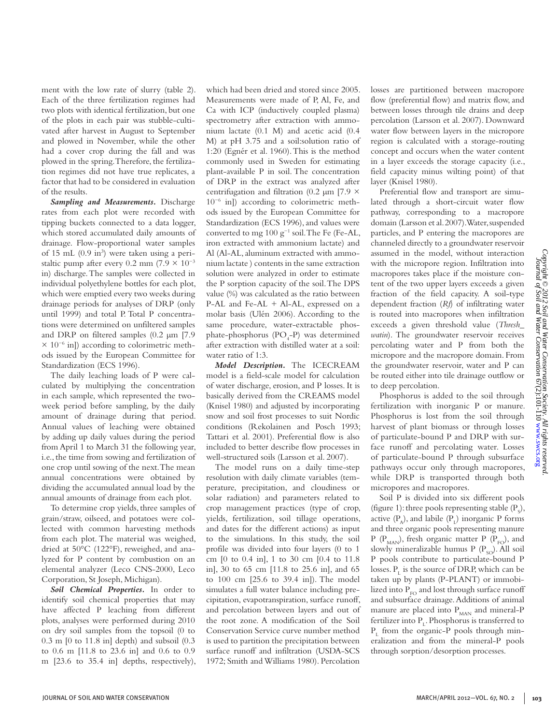ment with the low rate of slurry (table 2). Each of the three fertilization regimes had two plots with identical fertilization, but one of the plots in each pair was stubble-cultivated after harvest in August to September and plowed in November, while the other had a cover crop during the fall and was plowed in the spring. Therefore, the fertilization regimes did not have true replicates, a factor that had to be considered in evaluation of the results.

*Sampling and Measurements.* Discharge rates from each plot were recorded with tipping buckets connected to a data logger, which stored accumulated daily amounts of drainage. Flow-proportional water samples of 15 mL (0.9 in<sup>3</sup>) were taken using a peristaltic pump after every 0.2 mm (7.9  $\times$  10<sup>-3</sup> in) discharge. The samples were collected in individual polyethylene bottles for each plot, which were emptied every two weeks during drainage periods for analyses of DRP (only until 1999) and total P. Total P concentrations were determined on unfiltered samples and DRP on filtered samples (0.2 µm [7.9  $\times$  10<sup>-6</sup> in]) according to colorimetric methods issued by the European Committee for Standardization (ECS 1996).

The daily leaching loads of P were calculated by multiplying the concentration in each sample, which represented the twoweek period before sampling, by the daily amount of drainage during that period. Annual values of leaching were obtained by adding up daily values during the period from April 1 to March 31 the following year, i.e., the time from sowing and fertilization of one crop until sowing of the next. The mean annual concentrations were obtained by dividing the accumulated annual load by the annual amounts of drainage from each plot.

To determine crop yields, three samples of grain/straw, oilseed, and potatoes were collected with common harvesting methods from each plot. The material was weighed, dried at 50°C (122°F), reweighed, and analyzed for P content by combustion on an elemental analyzer (Leco CNS-2000, Leco Corporation, St Joseph, Michigan).

*Soil Chemical Properties.* In order to identify soil chemical properties that may have affected P leaching from different plots, analyses were performed during 2010 on dry soil samples from the topsoil (0 to 0.3 m [0 to 11.8 in] depth) and subsoil (0.3 to 0.6 m [11.8 to 23.6 in] and 0.6 to 0.9 m [23.6 to 35.4 in] depths, respectively), which had been dried and stored since 2005. Measurements were made of P, Al, Fe, and Ca with ICP (inductively coupled plasma) spectrometry after extraction with ammonium lactate (0.1 M) and acetic acid (0.4 M) at pH 3.75 and a soil:solution ratio of 1:20 (Egnér et al. 1960). This is the method commonly used in Sweden for estimating plant-available P in soil. The concentration of DRP in the extract was analyzed after centrifugation and filtration (0.2  $\mu$ m [7.9  $\times$ 10−6 in]) according to colorimetric methods issued by the European Committee for Standardization (ECS 1996), and values were converted to mg 100 g−1 soil. The Fe (Fe-AL, iron extracted with ammonium lactate) and Al (Al-AL, aluminum extracted with ammonium lactate ) contents in the same extraction solution were analyzed in order to estimate the P sorption capacity of the soil. The DPS value (%) was calculated as the ratio between P-AL and Fe-AL + Al-AL, expressed on a molar basis (Ulén 2006). According to the same procedure, water-extractable phosphate-phosphorus (PO<sub>4</sub>-P) was determined after extraction with distilled water at a soil: water ratio of 1:3.

*Model Description.* The ICECREAM model is a field-scale model for calculation of water discharge, erosion, and P losses. It is basically derived from the CREAMS model (Knisel 1980) and adjusted by incorporating snow and soil frost processes to suit Nordic conditions (Rekolainen and Posch 1993; Tattari et al. 2001). Preferential flow is also included to better describe flow processes in well-structured soils (Larsson et al. 2007).

The model runs on a daily time-step resolution with daily climate variables (temperature, precipitation, and cloudiness or solar radiation) and parameters related to crop management practices (type of crop, yields, fertilization, soil tillage operations, and dates for the different actions) as input to the simulations. In this study, the soil profile was divided into four layers (0 to 1 cm [0 to 0.4 in], 1 to 30 cm [0.4 to 11.8 in], 30 to 65 cm [11.8 to 25.6 in], and 65 to 100 cm [25.6 to 39.4 in]). The model simulates a full water balance including precipitation, evapotranspiration, surface runoff, and percolation between layers and out of the root zone. A modification of the Soil Conservation Service curve number method is used to partition the precipitation between surface runoff and infiltration (USDA-SCS 1972; Smith and Williams 1980). Percolation losses are partitioned between macropore flow (preferential flow) and matrix flow, and between losses through tile drains and deep percolation (Larsson et al. 2007). Downward water flow between layers in the micropore region is calculated with a storage-routing concept and occurs when the water content in a layer exceeds the storage capacity (i.e., field capacity minus wilting point) of that layer (Knisel 1980).

Preferential flow and transport are simulated through a short-circuit water flow pathway, corresponding to a macropore domain (Larsson et al. 2007). Water, suspended particles, and P entering the macropores are channeled directly to a groundwater reservoir assumed in the model, without interaction with the micropore region. Infiltration into macropores takes place if the moisture content of the two upper layers exceeds a given fraction of the field capacity. A soil-type dependent fraction (*Rf*) of infiltrating water is routed into macropores when infiltration exceeds a given threshold value (*Thresh\_ watin*). The groundwater reservoir receives percolating water and P from both the micropore and the macropore domain. From the groundwater reservoir, water and P can be routed either into tile drainage outflow or to deep percolation.

Phosphorus is added to the soil through fertilization with inorganic P or manure. Phosphorus is lost from the soil through harvest of plant biomass or through losses of particulate-bound P and DRP with surface runoff and percolating water. Losses of particulate-bound P through subsurface pathways occur only through macropores, while DRP is transported through both micropores and macropores.

Soil P is divided into six different pools (figure 1): three pools representing stable (P<sub>s</sub>), active  $(P_A)$ , and labile  $(P_L)$  inorganic P forms and three organic pools representing manure P ( $P_{MAN}$ ), fresh organic matter P ( $P_{FO}$ ), and slowly mineralizable humus P  $(P_{\rm so})$ . All soil P pools contribute to particulate-bound P losses.  $P_{L}$  is the source of DRP, which can be taken up by plants (P-PLANT) or immobilized into  $P_{FO}$  and lost through surface runoff and subsurface drainage. Additions of animal manure are placed into  $P_{MAN}$  and mineral-P fertilizer into  $P_{L}$ . Phosphorus is transferred to PL from the organic-P pools through mineralization and from the mineral-P pools through sorption/desorption processes.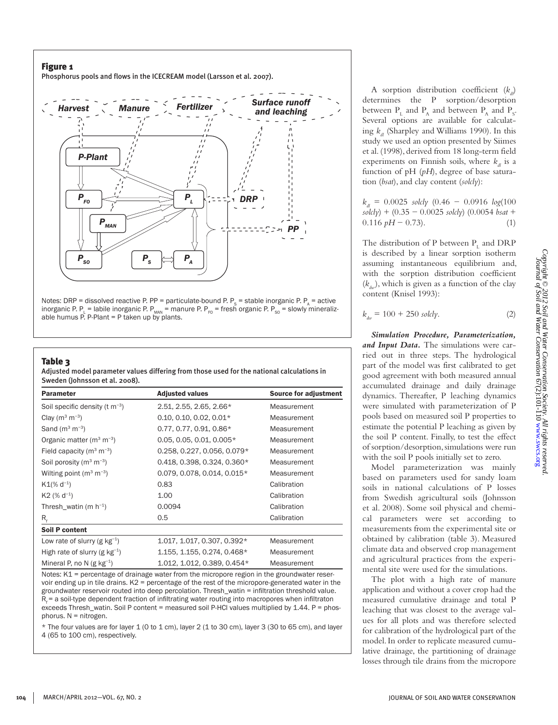### Figure 1 Phosphorus pools and flows in the ICECREAM model (Larsson et al. 2007).



Notes: DRP = dissolved reactive P. PP = particulate-bound P.  $P_s$  = stable inorganic P.  $P_A$  = active inorganic P. P<sub>L</sub> = labile inorganic P. P<sub>MAN</sub> = manure P. P<sub>FO</sub> = fresh organic P. P<sub>so</sub> = slowly mineralizable humus P. P-Plant = P taken up by plants.

### Table 3

Adjusted model parameter values differing from those used for the national calculations in Sweden (Johnsson et al. 2008).

| <b>Parameter</b>                              | <b>Adjusted values</b>        | Source for adjustment |
|-----------------------------------------------|-------------------------------|-----------------------|
| Soil specific density ( $t$ m <sup>-3</sup> ) | 2.51, 2.55, 2.65, 2.66*       | Measurement           |
| Clay $(m^3 m^{-3})$                           | $0.10, 0.10, 0.02, 0.01*$     | Measurement           |
| Sand $(m^3 m^{-3})$                           | $0.77, 0.77, 0.91, 0.86*$     | Measurement           |
| Organic matter $(m^3 m^{-3})$                 | $0.05, 0.05, 0.01, 0.005*$    | Measurement           |
| Field capacity ( $m3 m-3$ )                   | $0.258, 0.227, 0.056, 0.079*$ | Measurement           |
| Soil porosity ( $m3 m-3$ )                    | $0.418, 0.398, 0.324, 0.360*$ | Measurement           |
| Wilting point $(m^3 m^{-3})$                  | $0.079, 0.078, 0.014, 0.015*$ | Measurement           |
| $K1(\% d^{-1})$                               | 0.83                          | Calibration           |
| $K2$ (% d <sup>-1</sup> )                     | 1.00                          | Calibration           |
| Thresh_watin (m $h^{-1}$ )                    | 0.0094                        | Calibration           |
| $R_{f}$                                       | 0.5                           | Calibration           |
| <b>Soil P content</b>                         |                               |                       |
| Low rate of slurry (g $kg^{-1}$ )             | 1.017, 1.017, 0.307, 0.392*   | Measurement           |
| High rate of slurry (g $kg^{-1}$ )            | 1.155, 1.155, 0.274, 0.468*   | Measurement           |
| Mineral P, no N $(g kg^{-1})$                 | 1.012, 1.012, 0.389, 0.454*   | Measurement           |

Notes: K1 = percentage of drainage water from the micropore region in the groundwater reservoir ending up in tile drains. K2 = percentage of the rest of the micropore-generated water in the groundwater reservoir routed into deep percolation. Thresh\_watin = infiltration threshold value.  $\overline{R}_r$  = a soil-type dependent fraction of infiltrating water routing into macropores when infiltraton exceeds Thresh\_watin. Soil P content = measured soil P-HCl values multiplied by 1.44. P = phosphorus. N = nitrogen.

 $*$  The four values are for layer  $1$  (0 to  $1$  cm), layer  $2$  (1 to 30 cm), layer 3 (30 to 65 cm), and layer 4 (65 to 100 cm), respectively.

A sorption distribution coefficient (*k<sub>a</sub>*) determines the P sorption/desorption between  $P_L$  and  $P_A$  and between  $P_A$  and  $P_S$ . Several options are available for calculating  $k_d$  (Sharpley and Williams 1990). In this study we used an option presented by Siimes et al. (1998), derived from 18 long-term field experiments on Finnish soils, where  $k_{\mu}$  is a function of pH (*pH*), degree of base saturation (*bsat*), and clay content (*solcly*):

*kdl* = 0.0025 *solcly* (0.46 − 0.0916 *log*(100 *solcly*) + (0.35 − 0.0025 *solcly*) (0.0054 *bsat* +  $0.116$  *pH* – 0.73).

The distribution of P between  $P<sub>L</sub>$  and DRP is described by a linear sorption isotherm assuming instantaneous equilibrium and, with the sorption distribution coefficient  $(k<sub>th</sub>)$ , which is given as a function of the clay content (Knisel 1993):

$$
k_{_{\text{dw}}} = 100 + 250 \text{ solely.} \tag{2}
$$

*Simulation Procedure, Parameterization, and Input Data.* The simulations were carried out in three steps. The hydrological part of the model was first calibrated to get good agreement with both measured annual accumulated drainage and daily drainage dynamics. Thereafter, P leaching dynamics were simulated with parameterization of P pools based on measured soil P properties to estimate the potential P leaching as given by the soil P content. Finally, to test the effect of sorption/desorption, simulations were run with the soil P pools initially set to zero.

Model parameterization was mainly based on parameters used for sandy loam soils in national calculations of P losses from Swedish agricultural soils (Johnsson et al. 2008). Some soil physical and chemical parameters were set according to measurements from the experimental site or obtained by calibration (table 3). Measured climate data and observed crop management and agricultural practices from the experimental site were used for the simulations.

The plot with a high rate of manure application and without a cover crop had the measured cumulative drainage and total P leaching that was closest to the average values for all plots and was therefore selected for calibration of the hydrological part of the model. In order to replicate measured cumulative drainage, the partitioning of drainage losses through tile drains from the micropore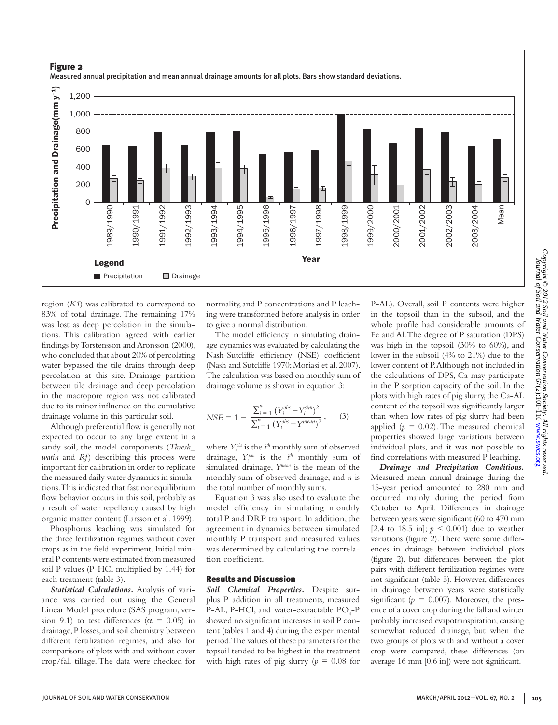

region (*K1*) was calibrated to correspond to 83% of total drainage. The remaining 17% was lost as deep percolation in the simulations. This calibration agreed with earlier findings by Torstensson and Aronsson (2000), who concluded that about 20% of percolating water bypassed the tile drains through deep percolation at this site. Drainage partition between tile drainage and deep percolation in the macropore region was not calibrated due to its minor influence on the cumulative drainage volume in this particular soil.

Although preferential flow is generally not expected to occur to any large extent in a sandy soil, the model components (*Thresh\_ watin* and *Rf*) describing this process were important for calibration in order to replicate the measured daily water dynamics in simulations. This indicated that fast nonequilibrium flow behavior occurs in this soil, probably as a result of water repellency caused by high organic matter content (Larsson et al. 1999).

Phosphorus leaching was simulated for the three fertilization regimes without cover crops as in the field experiment. Initial mineral P contents were estimated from measured soil P values (P-HCl multiplied by 1.44) for each treatment (table 3).

*Statistical Calculations.* Analysis of variance was carried out using the General Linear Model procedure (SAS program, version 9.1) to test differences ( $\alpha$  = 0.05) in drainage, P losses, and soil chemistry between different fertilization regimes, and also for comparisons of plots with and without cover crop/fall tillage. The data were checked for normality, and P concentrations and P leaching were transformed before analysis in order to give a normal distribution.

The model efficiency in simulating drainage dynamics was evaluated by calculating the Nash-Sutcliffe efficiency (NSE) coefficient (Nash and Sutcliffe 1970; Moriasi et al. 2007). The calculation was based on monthly sum of drainage volume as shown in equation 3:

$$
NSE = 1 - \frac{\sum_{i=1}^{n} (Y_i^{obs} - Y_i^{sim})^2}{\sum_{i=1}^{n} (Y_i^{obs} - Y^{mean})^2},
$$
 (3)

where  $Y_i^{obs}$  is the  $i^{th}$  monthly sum of observed drainage,  $Y_i^{sim}$  is the  $i^{th}$  monthly sum of simulated drainage, *Ymean* is the mean of the monthly sum of observed drainage, and *n* is the total number of monthly sums.

Equation 3 was also used to evaluate the model efficiency in simulating monthly total P and DRP transport. In addition, the agreement in dynamics between simulated monthly P transport and measured values was determined by calculating the correlation coefficient.

### Results and Discussion

*Soil Chemical Properties.* Despite surplus P addition in all treatments, measured P-AL, P-HCl, and water-extractable  $PO_{4}$ -P showed no significant increases in soil P content (tables 1 and 4) during the experimental period. The values of these parameters for the topsoil tended to be highest in the treatment with high rates of pig slurry ( $p = 0.08$  for

P-AL). Overall, soil P contents were higher in the topsoil than in the subsoil, and the whole profile had considerable amounts of Fe and Al. The degree of P saturation (DPS) was high in the topsoil (30% to 60%), and lower in the subsoil (4% to 21%) due to the lower content of P. Although not included in the calculations of DPS, Ca may participate in the P sorption capacity of the soil. In the plots with high rates of pig slurry, the Ca-AL content of the topsoil was significantly larger than when low rates of pig slurry had been applied  $(p = 0.02)$ . The measured chemical properties showed large variations between individual plots, and it was not possible to find correlations with measured P leaching.

*Drainage and Precipitation Conditions.*  Measured mean annual drainage during the 15-year period amounted to 280 mm and occurred mainly during the period from October to April. Differences in drainage between years were significant (60 to 470 mm [2.4 to 18.5 in];  $p < 0.001$ ) due to weather variations (figure 2). There were some differences in drainage between individual plots (figure 2), but differences between the plot pairs with different fertilization regimes were not significant (table 5). However, differences in drainage between years were statistically significant ( $p = 0.007$ ). Moreover, the presence of a cover crop during the fall and winter probably increased evapotranspiration, causing somewhat reduced drainage, but when the two groups of plots with and without a cover crop were compared, these differences (on average 16 mm [0.6 in]) were not significant.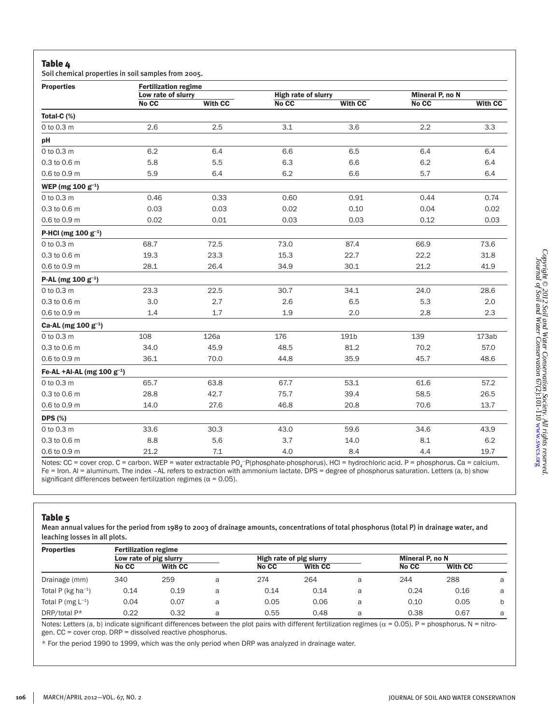Soil chemical properties in soil samples from 2005.

| <b>Properties</b>                      | <b>Fertilization regime</b> |         |                            |                  |                        |         |  |  |  |
|----------------------------------------|-----------------------------|---------|----------------------------|------------------|------------------------|---------|--|--|--|
|                                        | Low rate of slurry          |         | <b>High rate of slurry</b> |                  | <b>Mineral P, no N</b> |         |  |  |  |
|                                        | No CC                       | With CC | No CC                      | With CC          | No CC                  | With CC |  |  |  |
| Total-C (%)                            |                             |         |                            |                  |                        |         |  |  |  |
| 0 to 0.3 m                             | 2.6                         | 2.5     | 3.1                        | 3.6              | 2.2                    | 3.3     |  |  |  |
| pH                                     |                             |         |                            |                  |                        |         |  |  |  |
| 0 to 0.3 m                             | 6.2                         | 6.4     | 6.6                        | 6.5              | 6.4                    | 6.4     |  |  |  |
| 0.3 to 0.6 m                           | 5.8                         | 5.5     | 6.3                        | 6.6              | 6.2                    | 6.4     |  |  |  |
| 0.6 to 0.9 m                           | 5.9                         | 6.4     | 6.2                        | 6.6              | 5.7                    | 6.4     |  |  |  |
| WEP (mg $100 g^{-1}$ )                 |                             |         |                            |                  |                        |         |  |  |  |
| 0 to 0.3 m                             | 0.46                        | 0.33    | 0.60                       | 0.91             | 0.44                   | 0.74    |  |  |  |
| 0.3 to 0.6 m                           | 0.03                        | 0.03    | 0.02                       | 0.10             | 0.04                   | 0.02    |  |  |  |
| 0.6 to 0.9 m                           | 0.02                        | 0.01    | 0.03                       | 0.03             | 0.12                   | 0.03    |  |  |  |
| P-HCl (mg $100 g^{-1}$ )               |                             |         |                            |                  |                        |         |  |  |  |
| 0 to 0.3 m                             | 68.7                        | 72.5    | 73.0                       | 87.4             | 66.9                   | 73.6    |  |  |  |
| 0.3 to 0.6 m                           | 19.3                        |         | 15.3                       | 22.7             | 22.2                   |         |  |  |  |
| 0.6 to 0.9 m                           | 28.1                        | 26.4    | 34.9                       | 30.1             | 21.2                   | 41.9    |  |  |  |
| P-AL (mg $100 g^{-1}$ )                |                             |         |                            |                  |                        |         |  |  |  |
| 0 to 0.3 m                             | 23.3                        | 22.5    | 30.7                       | 34.1             | 24.0                   | 28.6    |  |  |  |
| 0.3 to 0.6 m                           | 3.0                         | 2.7     | 2.6                        | 6.5              | 5.3                    | 2.0     |  |  |  |
| 0.6 to 0.9 m                           | 1.4                         | 1.7     | 1.9                        | 2.0              | 2.8                    | 2.3     |  |  |  |
| Ca-AL (mg 100 g <sup>-1</sup> )        |                             |         |                            |                  |                        |         |  |  |  |
| 0 to 0.3 m                             | 108                         | 126a    | 176                        | 191 <sub>b</sub> | 139                    | 173ab   |  |  |  |
| 0.3 to 0.6 m                           | 34.0                        | 45.9    | 48.5                       | 81.2             | 70.2                   | 57.0    |  |  |  |
| 0.6 to 0.9 m                           | 36.1                        | 70.0    | 44.8                       | 35.9             | 45.7                   | 48.6    |  |  |  |
| Fe-AL +AI-AL (mg 100 g <sup>-1</sup> ) |                             |         |                            |                  |                        |         |  |  |  |
| 0 to 0.3 m                             | 65.7                        | 63.8    | 67.7                       | 53.1             | 61.6                   | 57.2    |  |  |  |
| 0.3 to 0.6 m                           | 28.8                        | 42.7    | 75.7                       | 39.4             | 58.5                   | 26.5    |  |  |  |
| 0.6 to 0.9 m                           | 14.0                        | 27.6    | 46.8                       | 20.8             | 70.6                   | 13.7    |  |  |  |
| <b>DPS (%)</b>                         |                             |         |                            |                  |                        |         |  |  |  |
| 0 to 0.3 m                             | 33.6                        | 30.3    | 43.0                       | 59.6             | 34.6                   | 43.9    |  |  |  |
| 0.3 to 0.6 m                           | 8.8                         | 5.6     | 3.7                        | 14.0             | 8.1                    | 6.2     |  |  |  |
| 0.6 to 0.9 m                           | 21.2                        | 7.1     | 4.0                        | 8.4              | 4.4                    | 19.7    |  |  |  |

Notes: CC = cover crop. C = carbon. WEP = water extractable PO<sub>4</sub>-P(phosphate-phosphorus). HCl = hydrochloric acid. P = phosphorus. Ca = calcium. Fe = Iron. Al = aluminum. The index -AL refers to extraction with ammonium lactate. DPS = degree of phosphorus saturation. Letters (a, b) show significant differences between fertilization regimes ( $\alpha$  = 0.05).

### Table 5

Mean annual values for the period from 1989 to 2003 of drainage amounts, concentrations of total phosphorus (total P) in drainage water, and leaching losses in all plots.

| <b>Properties</b>                 | <b>Fertilization regime</b> |         |   |       |                         |   |       |                 |   |  |
|-----------------------------------|-----------------------------|---------|---|-------|-------------------------|---|-------|-----------------|---|--|
|                                   | Low rate of pig slurry      |         |   |       | High rate of pig slurry |   |       | Mineral P. no N |   |  |
|                                   | No CC                       | With CC |   | No CC | With CC                 |   | No CC | <b>With CC</b>  |   |  |
| Drainage (mm)                     | 340                         | 259     | a | 274   | 264                     | a | 244   | 288             | a |  |
| Total P ( $kg$ ha <sup>-1</sup> ) | 0.14                        | 0.19    | a | 0.14  | 0.14                    | a | 0.24  | 0.16            | a |  |
| Total P (mg $L^{-1}$ )            | 0.04                        | 0.07    | a | 0.05  | 0.06                    | a | 0.10  | 0.05            | b |  |
| DRP/total P*                      | 0.22                        | 0.32    | a | 0.55  | 0.48                    | a | 0.38  | 0.67            | a |  |

Notes: Letters (a, b) indicate significant differences between the plot pairs with different fertilization regimes ( $\alpha$  = 0.05). P = phosphorus. N = nitrogen. CC = cover crop. DRP = dissolved reactive phosphorus.

\* For the period 1990 to 1999, which was the only period when DRP was analyzed in drainage water.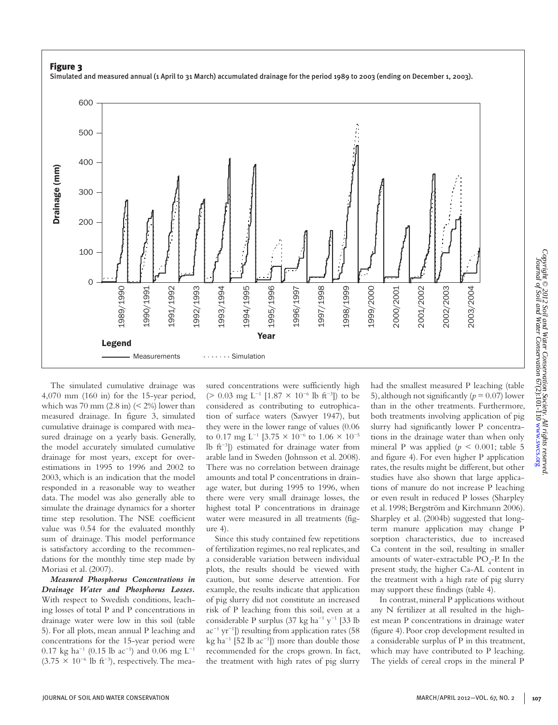cumulative drainage is compared with measured drainage on a yearly basis. Generally, the model accurately simulated cumulative drainage for most years, except for overestimations in 1995 to 1996 and 2002 to 2003, which is an indication that the model responded in a reasonable way to weather data. The model was also generally able to simulate the drainage dynamics for a shorter time step resolution. The NSE coefficient value was 0.54 for the evaluated monthly sum of drainage. This model performance is satisfactory according to the recommendations for the monthly time step made by Moriasi et al. (2007). *Measured Phosphorus Concentrations in Drainage Water and Phosphorus Losses.* 

The simulated cumulative drainage was 4,070 mm (160 in) for the 15-year period, which was 70 mm  $(2.8 \text{ in})$  (< 2%) lower than measured drainage. In figure 3, simulated

With respect to Swedish conditions, leaching losses of total P and P concentrations in drainage water were low in this soil (table 5). For all plots, mean annual P leaching and concentrations for the 15-year period were 0.17 kg ha<sup>-1</sup> (0.15 lb ac<sup>-1</sup>) and 0.06 mg L<sup>-1</sup>  $(3.75 \times 10^{-6} \text{ lb ft}^{-3})$ , respectively. The measured concentrations were sufficiently high (> 0.03 mg L<sup>-1</sup> [1.87 × 10<sup>-6</sup> lb ft<sup>-3</sup>]) to be considered as contributing to eutrophication of surface waters (Sawyer 1947), but they were in the lower range of values (0.06 to 0.17 mg L<sup>-1</sup> [3.75 × 10<sup>-6</sup> to 1.06 × 10<sup>-5</sup> lb ft−3]) estimated for drainage water from arable land in Sweden (Johnsson et al. 2008). There was no correlation between drainage amounts and total P concentrations in drainage water, but during 1995 to 1996, when there were very small drainage losses, the highest total P concentrations in drainage water were measured in all treatments (figure 4).

Since this study contained few repetitions of fertilization regimes, no real replicates, and a considerable variation between individual plots, the results should be viewed with caution, but some deserve attention. For example, the results indicate that application of pig slurry did not constitute an increased risk of P leaching from this soil, even at a considerable P surplus (37 kg ha−1 y−1 [33 lb  $ac^{-1}$  yr<sup>-1</sup>]) resulting from application rates (58 kg ha−1 [52 lb ac−1]) more than double those recommended for the crops grown. In fact, the treatment with high rates of pig slurry had the smallest measured P leaching (table 5), although not significantly ( $p = 0.07$ ) lower than in the other treatments. Furthermore, both treatments involving application of pig slurry had significantly lower P concentrations in the drainage water than when only mineral P was applied ( $p < 0.001$ ; table 5 and figure 4). For even higher P application rates, the results might be different, but other studies have also shown that large applications of manure do not increase P leaching or even result in reduced P losses (Sharpley et al. 1998; Bergström and Kirchmann 2006). Sharpley et al. (2004b) suggested that longterm manure application may change P sorption characteristics, due to increased Ca content in the soil, resulting in smaller amounts of water-extractable  $PO_{4}$ -P. In the present study, the higher Ca-AL content in the treatment with a high rate of pig slurry may support these findings (table 4).

In contrast, mineral P applications without any N fertilizer at all resulted in the highest mean P concentrations in drainage water (figure 4). Poor crop development resulted in a considerable surplus of P in this treatment, which may have contributed to P leaching. The yields of cereal crops in the mineral P



## Figure 3

Simulated and measured annual (1 April to 31 March) accumulated drainage for the period 1989 to 2003 (ending on December 1, 2003).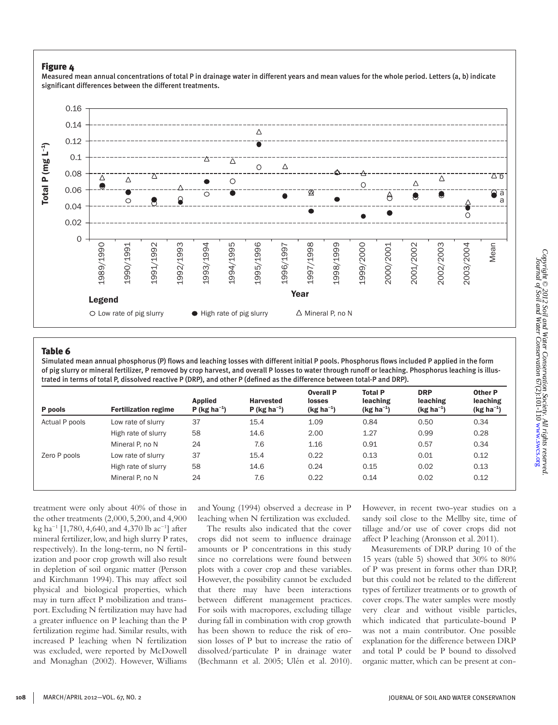### Figure 4



### Measured mean annual concentrations of total P in drainage water in different years and mean values for the whole period. Letters (a, b) indicate significant differences between the different treatments.

### Table 6

Simulated mean annual phosphorus (P) flows and leaching losses with different initial P pools. Phosphorus flows included P applied in the form of pig slurry or mineral fertilizer, P removed by crop harvest, and overall P losses to water through runoff or leaching. Phosphorus leaching is illustrated in terms of total P, dissolved reactive P (DRP), and other P (defined as the difference between total-P and DRP).

| P pools        | <b>Fertilization regime</b> | <b>Applied</b><br>$P$ (kg ha <sup>-1</sup> ) | <b>Harvested</b><br><b>P</b> (kg ha <sup>-1</sup> ) | <b>Overall P</b><br>losses<br>$(kg ha^{-1})$ | <b>Total P</b><br>leaching<br>$(kg ha^{-1})$ | <b>DRP</b><br>leaching<br>$(kg ha^{-1})$ | Other P<br>leaching<br>$(kg ha^{-1})$ |
|----------------|-----------------------------|----------------------------------------------|-----------------------------------------------------|----------------------------------------------|----------------------------------------------|------------------------------------------|---------------------------------------|
| Actual P pools | Low rate of slurry          | 37                                           | 15.4                                                | 1.09                                         | 0.84                                         | 0.50                                     | 0.34                                  |
|                | High rate of slurry         | 58                                           | 14.6                                                | 2.00                                         | 1.27                                         | 0.99                                     | 0.28                                  |
|                | Mineral P, no N             | 24                                           | 7.6                                                 | 1.16                                         | 0.91                                         | 0.57                                     | 0.34                                  |
| Zero P pools   | Low rate of slurry          | 37                                           | 15.4                                                | 0.22                                         | 0.13                                         | 0.01                                     | 0.12                                  |
|                | High rate of slurry         | 58                                           | 14.6                                                | 0.24                                         | 0.15                                         | 0.02                                     | 0.13                                  |
|                | Mineral P. no N             | 24                                           | 7.6                                                 | 0.22                                         | 0.14                                         | 0.02                                     | 0.12                                  |

treatment were only about 40% of those in the other treatments (2,000, 5,200, and 4,900 kg ha−1 [1,780, 4,640, and 4,370 lb ac−1] after mineral fertilizer, low, and high slurry P rates, respectively). In the long-term, no N fertilization and poor crop growth will also result in depletion of soil organic matter (Persson and Kirchmann 1994). This may affect soil physical and biological properties, which may in turn affect P mobilization and transport. Excluding N fertilization may have had a greater influence on P leaching than the P fertilization regime had. Similar results, with increased P leaching when N fertilization was excluded, were reported by McDowell and Monaghan (2002). However, Williams and Young (1994) observed a decrease in P leaching when N fertilization was excluded.

The results also indicated that the cover crops did not seem to influence drainage amounts or P concentrations in this study since no correlations were found between plots with a cover crop and these variables. However, the possibility cannot be excluded that there may have been interactions between different management practices. For soils with macropores, excluding tillage during fall in combination with crop growth has been shown to reduce the risk of erosion losses of P but to increase the ratio of dissolved/particulate P in drainage water (Bechmann et al. 2005; Ulén et al. 2010). However, in recent two-year studies on a sandy soil close to the Mellby site, time of tillage and/or use of cover crops did not affect P leaching (Aronsson et al. 2011).

Measurements of DRP during 10 of the 15 years (table 5) showed that 30% to 80% of P was present in forms other than DRP, but this could not be related to the different types of fertilizer treatments or to growth of cover crops. The water samples were mostly very clear and without visible particles, which indicated that particulate-bound P was not a main contributor. One possible explanation for the difference between DRP and total P could be P bound to dissolved organic matter, which can be present at con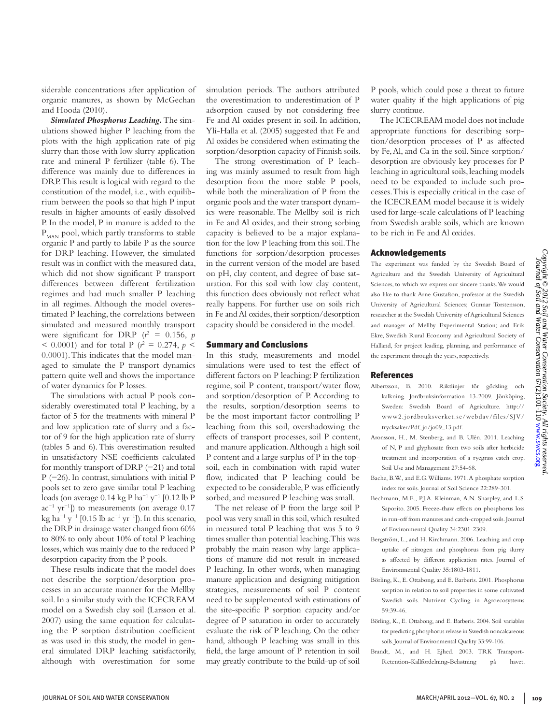siderable concentrations after application of organic manures, as shown by McGechan and Hooda (2010).

*Simulated Phosphorus Leaching.* The simulations showed higher P leaching from the plots with the high application rate of pig slurry than those with low slurry application rate and mineral P fertilizer (table 6). The difference was mainly due to differences in DRP. This result is logical with regard to the constitution of the model, i.e., with equilibrium between the pools so that high P input results in higher amounts of easily dissolved P. In the model, P in manure is added to the  $P<sub>MAN</sub>$  pool, which partly transforms to stable organic P and partly to labile P as the source for DRP leaching. However, the simulated result was in conflict with the measured data, which did not show significant P transport differences between different fertilization regimes and had much smaller P leaching in all regimes. Although the model overestimated P leaching, the correlations between simulated and measured monthly transport were significant for DRP  $(r^2 = 0.156, p)$  $<$  0.0001) and for total P ( $r^2 = 0.274$ ,  $p <$ 0.0001). This indicates that the model managed to simulate the P transport dynamics pattern quite well and shows the importance of water dynamics for P losses.

The simulations with actual P pools considerably overestimated total P leaching, by a factor of 5 for the treatments with mineral P and low application rate of slurry and a factor of 9 for the high application rate of slurry (tables 5 and 6). This overestimation resulted in unsatisfactory NSE coefficients calculated for monthly transport of DRP (−21) and total P (−26). In contrast, simulations with initial P pools set to zero gave similar total P leaching loads (on average 0.14 kg P ha−1 y−1 [0.12 lb P ac−1 yr−1]) to measurements (on average 0.17 kg ha<sup>-1</sup> y<sup>-1</sup> [0.15 lb ac<sup>-1</sup> yr<sup>-1</sup>]). In this scenario, the DRP in drainage water changed from 60% to 80% to only about 10% of total P leaching losses, which was mainly due to the reduced P desorption capacity from the P pools.

These results indicate that the model does not describe the sorption/desorption processes in an accurate manner for the Mellby soil. In a similar study with the ICECREAM model on a Swedish clay soil (Larsson et al. 2007) using the same equation for calculating the P sorption distribution coefficient as was used in this study, the model in general simulated DRP leaching satisfactorily, although with overestimation for some

simulation periods. The authors attributed the overestimation to underestimation of P adsorption caused by not considering free Fe and Al oxides present in soil. In addition, Yli-Halla et al. (2005) suggested that Fe and Al oxides be considered when estimating the sorption/desorption capacity of Finnish soils.

The strong overestimation of P leaching was mainly assumed to result from high desorption from the more stable P pools, while both the mineralization of P from the organic pools and the water transport dynamics were reasonable. The Mellby soil is rich in Fe and Al oxides, and their strong sorbing capacity is believed to be a major explanation for the low P leaching from this soil. The functions for sorption/desorption processes in the current version of the model are based on pH, clay content, and degree of base saturation. For this soil with low clay content, this function does obviously not reflect what really happens. For further use on soils rich in Fe and Al oxides, their sorption/desorption capacity should be considered in the model.

### Summary and Conclusions

In this study, measurements and model simulations were used to test the effect of different factors on P leaching: P fertilization regime, soil P content, transport/water flow, and sorption/desorption of P. According to the results, sorption/desorption seems to be the most important factor controlling P leaching from this soil, overshadowing the effects of transport processes, soil P content, and manure application. Although a high soil P content and a large surplus of P in the topsoil, each in combination with rapid water flow, indicated that P leaching could be expected to be considerable, P was efficiently sorbed, and measured P leaching was small.

The net release of P from the large soil P pool was very small in this soil, which resulted in measured total P leaching that was 5 to 9 times smaller than potential leaching. This was probably the main reason why large applications of manure did not result in increased P leaching. In other words, when managing manure application and designing mitigation strategies, measurements of soil P content need to be supplemented with estimations of the site-specific P sorption capacity and/or degree of P saturation in order to accurately evaluate the risk of P leaching. On the other hand, although P leaching was small in this field, the large amount of P retention in soil may greatly contribute to the build-up of soil P pools, which could pose a threat to future water quality if the high applications of pig slurry continue.

The ICECREAM model does not include appropriate functions for describing sorption/desorption processes of P as affected by Fe, Al, and Ca in the soil. Since sorption/ desorption are obviously key processes for P leaching in agricultural soils, leaching models need to be expanded to include such processes. This is especially critical in the case of the ICECREAM model because it is widely used for large-scale calculations of P leaching from Swedish arable soils, which are known to be rich in Fe and Al oxides.

### Acknowledgements

The experiment was funded by the Swedish Board of Agriculture and the Swedish University of Agricultural Sciences, to which we express our sincere thanks. We would also like to thank Arne Gustafson, professor at the Swedish University of Agricultural Sciences; Gunnar Torstensson, researcher at the Swedish University of Agricultural Sciences and manager of Mellby Experimental Station; and Erik Ekre, Swedish Rural Economy and Agricultural Society of Halland, for project leading, planning, and performance of the experiment through the years, respectively.

### References

- Albertsson, B. 2010. Riktlinjer för gödsling och kalkning. Jordbruksinformation 13-2009. Jönköping, Sweden: Swedish Board of Agriculture. http:// www2.jordbruksverket.se/webdav/files/SJV/ trycksaker/Pdf\_jo/jo09\_13.pdf.
- Aronsson, H., M. Stenberg, and B. Ulén. 2011. Leaching of N, P and glyphosate from two soils after herbicide treatment and incorporation of a ryegrass catch crop. Soil Use and Management 27:54-68.
- Bache, B.W., and E.G. Williams. 1971. A phosphate sorption index for soils. Journal of Soil Science 22:289-301.
- Bechmann, M.E., P.J.A. Kleinman, A.N. Sharpley, and L.S. Saporito. 2005. Freeze-thaw effects on phosphorus loss in run-off from manures and catch-cropped soils. Journal of Environmental Quality 34:2301-2309.
- Bergström, L., and H. Kirchmann. 2006. Leaching and crop uptake of nitrogen and phosphorus from pig slurry as affected by different application rates. Journal of Environmental Quality 35:1803-1811.
- Börling, K., E. Ottabong, and E. Barberis. 2001. Phosphorus sorption in relation to soil properties in some cultivated Swedish soils. Nutrient Cycling in Agroecosystems 59:39-46.
- Börling, K., E. Ottabong, and E. Barberis. 2004. Soil variables for predicting phosphorus release in Swedish noncalcareous soils. Journal of Environmental Quality 33:99-106.
- Brandt, M., and H. Ejhed. 2003. TRK Transport-Retention-Källfördelning-Belastning på havet.